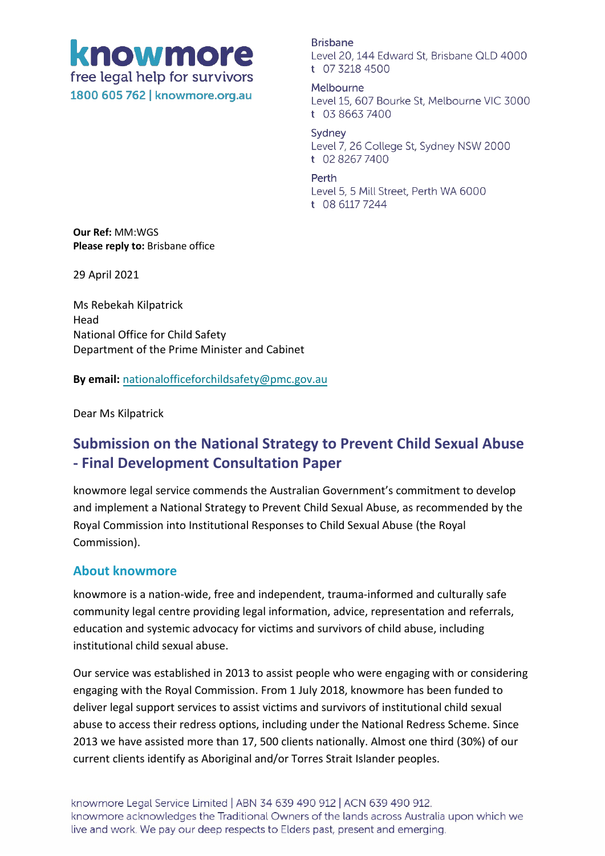knowmore free legal help for survivors 1800 605 762 | knowmore.org.au

**Brisbane** Level 20, 144 Edward St, Brisbane QLD 4000 t 07 3218 4500

Melbourne Level 15, 607 Bourke St, Melbourne VIC 3000 t 03 8663 7400

Sydney Level 7, 26 College St, Sydney NSW 2000 t 02 8267 7400

Perth

Level 5, 5 Mill Street, Perth WA 6000 t 08 6117 7244

**Our Ref:** MM:WGS **Please reply to:** Brisbane office

29 April 2021

Ms Rebekah Kilpatrick Head National Office for Child Safety Department of the Prime Minister and Cabinet

**By email:** [nationalofficeforchildsafety@pmc.gov.au](mailto:nationalofficeforchildsafety@pmc.gov.au)

Dear Ms Kilpatrick

# **Submission on the National Strategy to Prevent Child Sexual Abuse - Final Development Consultation Paper**

knowmore legal service commends the Australian Government's commitment to develop and implement a National Strategy to Prevent Child Sexual Abuse, as recommended by the Royal Commission into Institutional Responses to Child Sexual Abuse (the Royal Commission).

### **About knowmore**

knowmore is a nation-wide, free and independent, trauma-informed and culturally safe community legal centre providing legal information, advice, representation and referrals, education and systemic advocacy for victims and survivors of child abuse, including institutional child sexual abuse.

Our service was established in 2013 to assist people who were engaging with or considering engaging with the Royal Commission. From 1 July 2018, knowmore has been funded to deliver legal support services to assist victims and survivors of institutional child sexual abuse to access their redress options, including under the National Redress Scheme. Since 2013 we have assisted more than 17, 500 clients nationally. Almost one third (30%) of our current clients identify as Aboriginal and/or Torres Strait Islander peoples.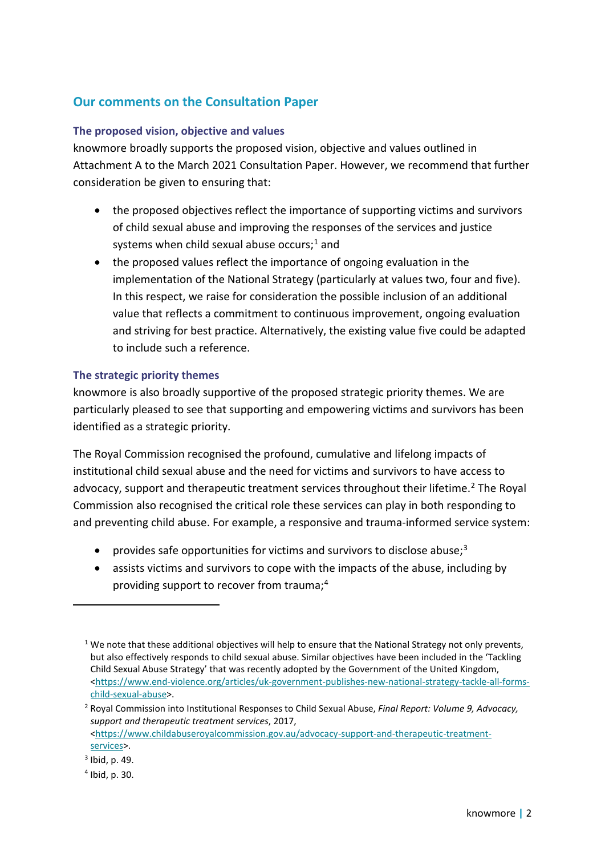## **Our comments on the Consultation Paper**

#### **The proposed vision, objective and values**

knowmore broadly supports the proposed vision, objective and values outlined in Attachment A to the March 2021 Consultation Paper. However, we recommend that further consideration be given to ensuring that:

- the proposed objectives reflect the importance of supporting victims and survivors of child sexual abuse and improving the responses of the services and justice systems when child sexual abuse occurs;<sup>[1](#page-1-0)</sup> and
- the proposed values reflect the importance of ongoing evaluation in the implementation of the National Strategy (particularly at values two, four and five). In this respect, we raise for consideration the possible inclusion of an additional value that reflects a commitment to continuous improvement, ongoing evaluation and striving for best practice. Alternatively, the existing value five could be adapted to include such a reference.

#### **The strategic priority themes**

knowmore is also broadly supportive of the proposed strategic priority themes. We are particularly pleased to see that supporting and empowering victims and survivors has been identified as a strategic priority.

The Royal Commission recognised the profound, cumulative and lifelong impacts of institutional child sexual abuse and the need for victims and survivors to have access to advocacy, support and therapeutic treatment services throughout their lifetime.<sup>[2](#page-1-1)</sup> The Royal Commission also recognised the critical role these services can play in both responding to and preventing child abuse. For example, a responsive and trauma-informed service system:

- provides safe opportunities for victims and survivors to disclose abuse;<sup>[3](#page-1-2)</sup>
- assists victims and survivors to cope with the impacts of the abuse, including by providing support to recover from trauma; [4](#page-1-3)

1

<span id="page-1-0"></span> $1$  We note that these additional objectives will help to ensure that the National Strategy not only prevents, but also effectively responds to child sexual abuse. Similar objectives have been included in the 'Tackling Child Sexual Abuse Strategy' that was recently adopted by the Government of the United Kingdom, [<https://www.end-violence.org/articles/uk-government-publishes-new-national-strategy-tackle-all-forms](https://www.end-violence.org/articles/uk-government-publishes-new-national-strategy-tackle-all-forms-child-sexual-abuse)[child-sexual-abuse>](https://www.end-violence.org/articles/uk-government-publishes-new-national-strategy-tackle-all-forms-child-sexual-abuse).

<span id="page-1-1"></span><sup>2</sup> Royal Commission into Institutional Responses to Child Sexual Abuse, *Final Report: Volume 9, Advocacy, support and therapeutic treatment services*, 2017, [<https://www.childabuseroyalcommission.gov.au/advocacy-support-and-therapeutic-treatment](https://www.childabuseroyalcommission.gov.au/advocacy-support-and-therapeutic-treatment-services)[services>](https://www.childabuseroyalcommission.gov.au/advocacy-support-and-therapeutic-treatment-services).

<span id="page-1-2"></span> $3$  Ibid, p. 49.

<span id="page-1-3"></span><sup>4</sup> Ibid, p. 30.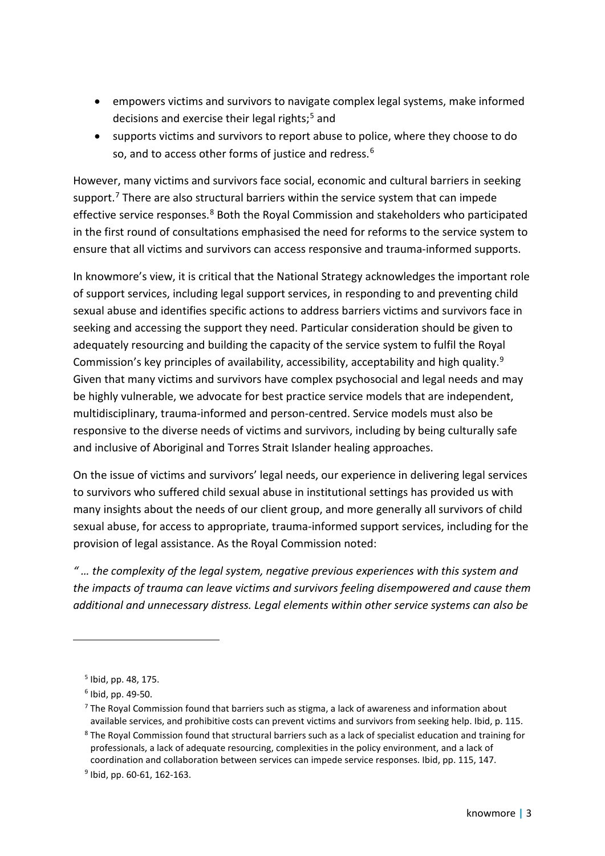- empowers victims and survivors to navigate complex legal systems, make informed decisions and exercise their legal rights; [5](#page-2-0) and
- supports victims and survivors to report abuse to police, where they choose to do so, and to access other forms of justice and redress.<sup>[6](#page-2-1)</sup>

However, many victims and survivors face social, economic and cultural barriers in seeking support.<sup>[7](#page-2-2)</sup> There are also structural barriers within the service system that can impede effective service responses.<sup>[8](#page-2-3)</sup> Both the Royal Commission and stakeholders who participated in the first round of consultations emphasised the need for reforms to the service system to ensure that all victims and survivors can access responsive and trauma-informed supports.

In knowmore's view, it is critical that the National Strategy acknowledges the important role of support services, including legal support services, in responding to and preventing child sexual abuse and identifies specific actions to address barriers victims and survivors face in seeking and accessing the support they need. Particular consideration should be given to adequately resourcing and building the capacity of the service system to fulfil the Royal Commission's key principles of availability, accessibility, acceptability and high quality.<sup>[9](#page-2-4)</sup> Given that many victims and survivors have complex psychosocial and legal needs and may be highly vulnerable, we advocate for best practice service models that are independent, multidisciplinary, trauma-informed and person-centred. Service models must also be responsive to the diverse needs of victims and survivors, including by being culturally safe and inclusive of Aboriginal and Torres Strait Islander healing approaches.

On the issue of victims and survivors' legal needs, our experience in delivering legal services to survivors who suffered child sexual abuse in institutional settings has provided us with many insights about the needs of our client group, and more generally all survivors of child sexual abuse, for access to appropriate, trauma-informed support services, including for the provision of legal assistance. As the Royal Commission noted:

*" … the complexity of the legal system, negative previous experiences with this system and the impacts of trauma can leave victims and survivors feeling disempowered and cause them additional and unnecessary distress. Legal elements within other service systems can also be* 

1

<span id="page-2-1"></span><span id="page-2-0"></span><sup>5</sup> Ibid, pp. 48, 175.

 $6$  Ibid, pp. 49-50.

<span id="page-2-2"></span> $7$  The Royal Commission found that barriers such as stigma, a lack of awareness and information about available services, and prohibitive costs can prevent victims and survivors from seeking help. Ibid, p. 115.

<span id="page-2-3"></span><sup>&</sup>lt;sup>8</sup> The Royal Commission found that structural barriers such as a lack of specialist education and training for professionals, a lack of adequate resourcing, complexities in the policy environment, and a lack of coordination and collaboration between services can impede service responses. Ibid, pp. 115, 147.

<span id="page-2-4"></span><sup>9</sup> Ibid, pp. 60-61, 162-163.